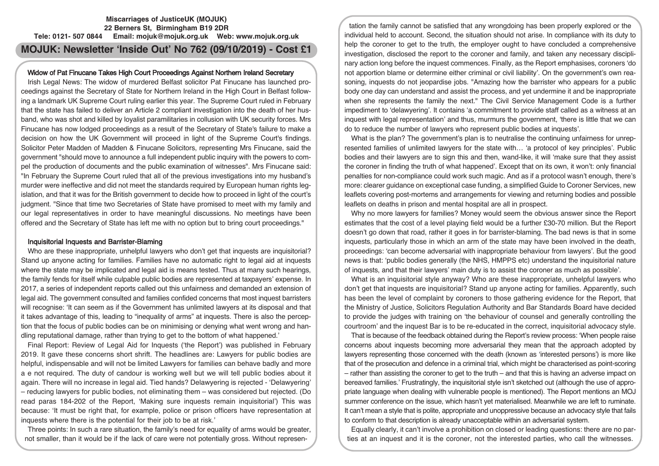# **Miscarriages of JusticeUK (MOJUK) 22 Berners St, Birmingham B19 2DR Tele: 0121- 507 0844 Email: mojuk@mojuk.org.uk Web: www.mojuk.org.uk MOJUK: Newsletter 'Inside Out' No 762 (09/10/2019) - Cost £1**

## Widow of Pat Finucane Takes High Court Proceedings Against Northern Ireland Secretary

Irish Legal News: The widow of murdered Belfast solicitor Pat Finucane has launched proceedings against the Secretary of State for Northern Ireland in the High Court in Belfast following a landmark UK Supreme Court ruling earlier this year. The Supreme Court ruled in February that the state has failed to deliver an Article 2 compliant investigation into the death of her husband, who was shot and killed by loyalist paramilitaries in collusion with UK security forces. Mrs Finucane has now lodged proceedings as a result of the Secretary of State's failure to make a decision on how the UK Government will proceed in light of the Supreme Court's findings. Solicitor Peter Madden of Madden & Finucane Solicitors, representing Mrs Finucane, said the government "should move to announce a full independent public inquiry with the powers to compel the production of documents and the public examination of witnesses". Mrs Finucane said: "In February the Supreme Court ruled that all of the previous investigations into my husband's murder were ineffective and did not meet the standards required by European human rights legislation, and that it was for the British government to decide how to proceed in light of the court's judgment. "Since that time two Secretaries of State have promised to meet with my family and our legal representatives in order to have meaningful discussions. No meetings have been offered and the Secretary of State has left me with no option but to bring court proceedings."

#### Inquisitorial Inquests and Barrister-Blaming

Who are these inappropriate, unhelpful lawyers who don't get that inquests are inquisitorial? Stand up anyone acting for families. Families have no automatic right to legal aid at inquests where the state may be implicated and legal aid is means tested. Thus at many such hearings, the family fends for itself while culpable public bodies are represented at taxpayers' expense. In 2017, a series of independent reports called out this unfairness and demanded an extension of legal aid. The government consulted and families confided concerns that most inquest barristers will recognise: 'It can seem as if the Government has unlimited lawyers at its disposal and that it takes advantage of this, leading to "inequality of arms" at inquests. There is also the perception that the focus of public bodies can be on minimising or denying what went wrong and handling reputational damage, rather than trying to get to the bottom of what happened.'

Final Report: Review of Legal Aid for Inquests ('the Report') was published in February 2019. It gave these concerns short shrift. The headlines are: Lawyers for public bodies are helpful, indispensable and will not be limited Lawyers for families can behave badly and more a e not required. The duty of candour is working well but we will tell public bodies about it again. There will no increase in legal aid. Tied hands? Delawyering is rejected - 'Delawyering' – reducing lawyers for public bodies, not eliminating them – was considered but rejected. (Do read paras 184-202 of the Report, 'Making sure inquests remain inquisitorial') This was because: 'It must be right that, for example, police or prison officers have representation at inquests where there is the potential for their job to be at risk.'

Three points: In such a rare situation, the family's need for equality of arms would be greater, not smaller, than it would be if the lack of care were not potentially gross. Without represen-

tation the family cannot be satisfied that any wrongdoing has been properly explored or the individual held to account. Second, the situation should not arise. In compliance with its duty to help the coroner to get to the truth, the employer ought to have concluded a comprehensive investigation, disclosed the report to the coroner and family, and taken any necessary disciplinary action long before the inquest commences. Finally, as the Report emphasises, coroners 'do not apportion blame or determine either criminal or civil liability'. On the government's own reasoning, inquests do not jeopardise jobs. "Amazing how the barrister who appears for a public body one day can understand and assist the process, and yet undermine it and be inappropriate when she represents the family the next." The Civil Service Management Code is a further impediment to 'delawyering'. It contains 'a commitment to provide staff called as a witness at an inquest with legal representation' and thus, murmurs the government, 'there is little that we can do to reduce the number of lawyers who represent public bodies at inquests'.

What is the plan? The government's plan is to neutralise the continuing unfairness for unrepresented families of unlimited lawyers for the state with… 'a protocol of key principles'. Public bodies and their lawyers are to sign this and then, wand-like, it will 'make sure that they assist the coroner in finding the truth of what happened'. Except that on its own, it won't: only financial penalties for non-compliance could work such magic. And as if a protocol wasn't enough, there's more: clearer guidance on exceptional case funding, a simplified Guide to Coroner Services, new leaflets covering post-mortems and arrangements for viewing and returning bodies and possible leaflets on deaths in prison and mental hospital are all in prospect.

Why no more lawyers for families? Money would seem the obvious answer since the Report estimates that the cost of a level playing field would be a further £30-70 million. But the Report doesn't go down that road, rather it goes in for barrister-blaming. The bad news is that in some inquests, particularly those in which an arm of the state may have been involved in the death, proceedings: 'can become adversarial with inappropriate behaviour from lawyers'. But the good news is that: 'public bodies generally (the NHS, HMPPS etc) understand the inquisitorial nature of inquests, and that their lawyers' main duty is to assist the coroner as much as possible'.

What is an inquisitorial style anyway? Who are these inappropriate, unhelpful lawyers who don't get that inquests are inquisitorial? Stand up anyone acting for families. Apparently, such has been the level of complaint by coroners to those gathering evidence for the Report, that the Ministry of Justice, Solicitors Regulation Authority and Bar Standards Board have decided to provide the judges with training on 'the behaviour of counsel and generally controlling the courtroom' and the inquest Bar is to be re-educated in the correct, inquisitorial advocacy style.

That is because of the feedback obtained during the Report's review process: 'When people raise concerns about inquests becoming more adversarial they mean that the approach adopted by lawyers representing those concerned with the death (known as 'interested persons') is more like that of the prosecution and defence in a criminal trial, which might be characterised as point-scoring  $-$  rather than assisting the coroner to get to the truth  $-$  and that this is having an adverse impact on bereaved families.' Frustratingly, the inquisitorial style isn't sketched out (although the use of appropriate language when dealing with vulnerable people is mentioned). The Report mentions an MOJ summer conference on the issue, which hasn't yet materialised. Meanwhile we are left to ruminate. It can't mean a style that is polite, appropriate and unoppressive because an advocacy style that fails to conform to that description is already unacceptable within an adversarial system.

Equally clearly, it can't involve a prohibition on closed or leading questions: there are no parties at an inquest and it is the coroner, not the interested parties, who call the witnesses.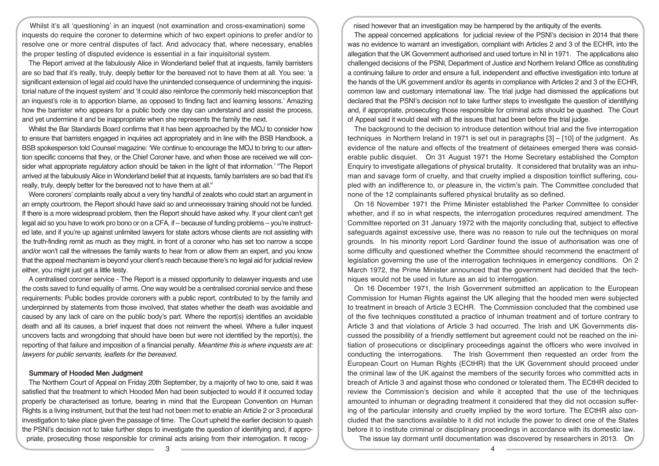Whilst it's all 'questioning' in an inquest (not examination and cross-examination) some inquests do require the coroner to determine which of two expert opinions to prefer and/or to resolve one or more central disputes of fact. And advocacy that, where necessary, enables the proper testing of disputed evidence is essential in a fair inquisitorial system.

The Report arrived at the fabulously Alice in Wonderland belief that at inquests, family barristers are so bad that it's really, truly, deeply better for the bereaved not to have them at all. You see: 'a significant extension of legal aid could have the unintended consequence of undermining the inquisitorial nature of the inquest system' and 'it could also reinforce the commonly held misconception that an inquest's role is to apportion blame, as opposed to finding fact and learning lessons.' Amazing how the barrister who appears for a public body one day can understand and assist the process, and yet undermine it and be inappropriate when she represents the family the next.

Whilst the Bar Standards Board confirms that it has been approached by the MOJ to consider how to ensure that barristers engaged in inquiries act appropriately and in line with the BSB Handbook, a BSB spokesperson told Counsel magazine: 'We continue to encourage the MOJ to bring to our attention specific concerns that they, or the Chief Coroner have, and when those are received we will consider what appropriate regulatory action should be taken in the light of that information.' "The Report arrived at the fabulously Alice in Wonderland belief that at inquests, family barristers are so bad that it's really, truly, deeply better for the bereaved not to have them at all."

Were coroners' complaints really about a very tiny handful of zealots who could start an argument in an empty courtroom, the Report should have said so and unnecessary training should not be funded. If there is a more widespread problem, then the Report should have asked why. If your client can't get legal aid so you have to work pro bono or on a CFA, if – because of funding problems – you're instructed late, and if you're up against unlimited lawyers for state actors whose clients are not assisting with the truth-finding remit as much as they might, in front of a coroner who has set too narrow a scope and/or won't call the witnesses the family wants to hear from or allow them an expert, and you know that the appeal mechanism is beyond your client's reach because there's no legal aid for judicial review either, you might just get a little testy.

A centralised coroner service - The Report is a missed opportunity to delawyer inquests and use the costs saved to fund equality of arms. One way would be a centralised coronial service and these requirements: Public bodies provide coroners with a public report, contributed to by the family and underpinned by statements from those involved, that states whether the death was avoidable and caused by any lack of care on the public body's part. Where the report(s) identifies an avoidable death and all its causes, a brief inquest that does not reinvent the wheel. Where a fuller inquest uncovers facts and wrongdoing that should have been but were not identified by the report(s), the reporting of that failure and imposition of a financial penalty. Meantime this is where inquests are at: lawyers for public servants, leaflets for the bereaved.

#### Summary of Hooded Men Judgment

The Northern Court of Appeal on Friday 20th September, by a majority of two to one, said it was satisfied that the treatment to which Hooded Men had been subjected to would if it occurred today properly be characterised as torture, bearing in mind that the European Convention on Human Rights is a living instrument, but that the test had not been met to enable an Article 2 or 3 procedural investigation to take place given the passage of time. The Court upheld the earlier decision to quash the PSNI's decision not to take further steps to investigate the question of identifying and, if appropriate, prosecuting those responsible for criminal acts arising from their interrogation. It recognised however that an investigation may be hampered by the antiquity of the events.

The appeal concerned applications for judicial review of the PSNI's decision in 2014 that there was no evidence to warrant an investigation, compliant with Articles 2 and 3 of the ECHR, into the allegation that the UK Government authorised and used torture in NI in 1971. The applications also challenged decisions of the PSNI, Department of Justice and Northern Ireland Office as constituting a continuing failure to order and ensure a full, independent and effective investigation into torture at the hands of the UK government and/or its agents in compliance with Articles 2 and 3 of the ECHR, common law and customary international law. The trial judge had dismissed the applications but declared that the PSNI's decision not to take further steps to investigate the question of identifying and, if appropriate, prosecuting those responsible for criminal acts should be quashed. The Court of Appeal said it would deal with all the issues that had been before the trial judge.

The background to the decision to introduce detention without trial and the five interrogation techniques in Northern Ireland in 1971 is set out in paragraphs [3] – [10] of the judgment. As evidence of the nature and effects of the treatment of detainees emerged there was considerable public disquiet. On 31 August 1971 the Home Secretary established the Compton Enquiry to investigate allegations of physical brutality. It considered that brutality was an inhuman and savage form of cruelty, and that cruelty implied a disposition toinflict suffering, coupled with an indifference to, or pleasure in, the victim's pain. The Committee concluded that none of the 12 complainants suffered physical brutality as so defined.

On 16 November 1971 the Prime Minister established the Parker Committee to consider whether, and if so in what respects, the interrogation procedures required amendment. The Committee reported on 31 January 1972 with the majority concluding that, subject to effective safeguards against excessive use, there was no reason to rule out the techniques on moral grounds. In his minority report Lord Gardiner found the issue of authorisation was one of some difficulty and questioned whether the Committee should recommend the enactment of legislation governing the use of the interrogation techniques in emergency conditions. On 2 March 1972, the Prime Minister announced that the government had decided that the techniques would not be used in future as an aid to interrogation.

On 16 December 1971, the Irish Government submitted an application to the European Commission for Human Rights against the UK alleging that the hooded men were subjected to treatment in breach of Article 3 ECHR. The Commission concluded that the combined use of the five techniques constituted a practice of inhuman treatment and of torture contrary to Article 3 and that violations of Article 3 had occurred. The Irish and UK Governments discussed the possibility of a friendly settlement but agreement could not be reached on the initiation of prosecutions or disciplinary proceedings against the officers who were involved in conducting the interrogations. The Irish Government then requested an order from the European Court on Human Rights (ECtHR) that the UK Government should proceed under the criminal law of the UK against the members of the security forces who committed acts in breach of Article 3 and against those who condoned or tolerated them. The ECtHR decided to review the Commission's decision and while it accepted that the use of the techniques amounted to inhuman or degrading treatment it considered that they did not occasion suffering of the particular intensity and cruelty implied by the word torture. The ECtHR also concluded that the sanctions available to it did not include the power to direct one of the States before it to institute criminal or disciplinary proceedings in accordance with its domestic law.

The issue lay dormant until documentation was discovered by researchers in 2013. On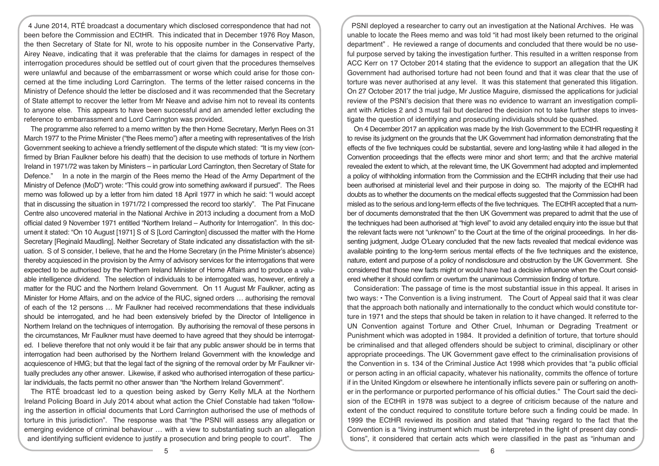4 June 2014, RTÉ broadcast a documentary which disclosed correspondence that had not been before the Commission and ECtHR. This indicated that in December 1976 Roy Mason, the then Secretary of State for NI, wrote to his opposite number in the Conservative Party, Airey Neave, indicating that it was preferable that the claims for damages in respect of the interrogation procedures should be settled out of court given that the procedures themselves were unlawful and because of the embarrassment or worse which could arise for those concerned at the time including Lord Carrington. The terms of the letter raised concerns in the Ministry of Defence should the letter be disclosed and it was recommended that the Secretary of State attempt to recover the letter from Mr Neave and advise him not to reveal its contents to anyone else. This appears to have been successful and an amended letter excluding the reference to embarrassment and Lord Carrington was provided.

The programme also referred to a memo written by the then Home Secretary, Merlyn Rees on 31 March 1977 to the Prime Minister ("the Rees memo") after a meeting with representatives of the Irish Government seeking to achieve a friendly settlement of the dispute which stated: "It is my view (confirmed by Brian Faulkner before his death) that the decision to use methods of torture in Northern Ireland in 1971/72 was taken by Ministers – in particular Lord Carrington, then Secretary of State for Defence." In a note in the margin of the Rees memo the Head of the Army Department of the Ministry of Defence (MoD") wrote: "This could grow into something awkward if pursued". The Rees memo was followed up by a letter from him dated 18 April 1977 in which he said: "I would accept that in discussing the situation in 1971/72 I compressed the record too starkly". The Pat Finucane Centre also uncovered material in the National Archive in 2013 including a document from a MoD official dated 9 November 1971 entitled "Northern Ireland – Authority for Interrogation". In this document it stated: "On 10 August [1971] S of S [Lord Carrington] discussed the matter with the Home Secretary [Reginald Maudling]. Neither Secretary of State indicated any dissatisfaction with the situation. S of S consider, I believe, that he and the Home Secretary (in the Prime Minister's absence) thereby acquiesced in the provision by the Army of advisory services for the interrogations that were expected to be authorised by the Northern Ireland Minister of Home Affairs and to produce a valuable intelligence dividend. The selection of individuals to be interrogated was, however, entirely a matter for the RUC and the Northern Ireland Government. On 11 August Mr Faulkner, acting as Minister for Home Affairs, and on the advice of the RUC, signed orders … authorising the removal of each of the 12 persons … Mr Faulkner had received recommendations that these individuals should be interrogated, and he had been extensively briefed by the Director of Intelligence in Northern Ireland on the techniques of interrogation. By authorising the removal of these persons in the circumstances, Mr Faulkner must have deemed to have agreed that they should be interrogated. I believe therefore that not only would it be fair that any public answer should be in terms that interrogation had been authorised by the Northern Ireland Government with the knowledge and acquiescence of HMG; but that the legal fact of the signing of the removal order by Mr Faulkner virtually precludes any other answer. Likewise, if asked who authorised interrogation of these particular individuals, the facts permit no other answer than "the Northern Ireland Government".

The RTÉ broadcast led to a question being asked by Gerry Kelly MLA at the Northern Ireland Policing Board in July 2014 about what action the Chief Constable had taken "following the assertion in official documents that Lord Carrington authorised the use of methods of torture in this jurisdiction". The response was that "the PSNI will assess any allegation or emerging evidence of criminal behaviour … with a view to substantiating such an allegation and identifying sufficient evidence to justify a prosecution and bring people to court". The

PSNI deployed a researcher to carry out an investigation at the National Archives. He was unable to locate the Rees memo and was told "it had most likely been returned to the original department" . He reviewed a range of documents and concluded that there would be no useful purpose served by taking the investigation further. This resulted in a written response from ACC Kerr on 17 October 2014 stating that the evidence to support an allegation that the UK Government had authorised torture had not been found and that it was clear that the use of torture was never authorised at any level. It was this statement that generated this litigation. On 27 October 2017 the trial judge, Mr Justice Maguire, dismissed the applications for judicial review of the PSNI's decision that there was no evidence to warrant an investigation compliant with Articles 2 and 3 must fail but declared the decision not to take further steps to investigate the question of identifying and prosecuting individuals should be quashed.

On 4 December 2017 an application was made by the Irish Government to the ECtHR requesting it to revise its judgment on the grounds that the UK Government had information demonstrating that the effects of the five techniques could be substantial, severe and long-lasting while it had alleged in the Convention proceedings that the effects were minor and short term; and that the archive material revealed the extent to which, at the relevant time, the UK Government had adopted and implemented a policy of withholding information from the Commission and the ECtHR including that their use had been authorised at ministerial level and their purpose in doing so. The majority of the ECtHR had doubts as to whether the documents on the medical effects suggested that the Commission had been misled as to the serious and long-term effects of the five techniques. The ECtHR accepted that a number of documents demonstrated that the then UK Government was prepared to admit that the use of the techniques had been authorised at "high level" to avoid any detailed enquiry into the issue but that the relevant facts were not "unknown" to the Court at the time of the original proceedings. In her dissenting judgment, Judge O'Leary concluded that the new facts revealed that medical evidence was available pointing to the long-term serious mental effects of the five techniques and the existence, nature, extent and purpose of a policy of nondisclosure and obstruction by the UK Government. She considered that those new facts might or would have had a decisive influence when the Court considered whether it should confirm or overturn the unanimous Commission finding of torture.

Consideration: The passage of time is the most substantial issue in this appeal. It arises in two ways: • The Convention is a living instrument. The Court of Appeal said that it was clear that the approach both nationally and internationally to the conduct which would constitute torture in 1971 and the steps that should be taken in relation to it have changed. It referred to the UN Convention against Torture and Other Cruel, Inhuman or Degrading Treatment or Punishment which was adopted in 1984. It provided a definition of torture, that torture should be criminalised and that alleged offenders should be subject to criminal, disciplinary or other appropriate proceedings. The UK Government gave effect to the criminalisation provisions of the Convention in s. 134 of the Criminal Justice Act 1998 which provides that "a public official or person acting in an official capacity, whatever his nationality, commits the offence of torture if in the United Kingdom or elsewhere he intentionally inflicts severe pain or suffering on another in the performance or purported performance of his official duties." The Court said the decision of the ECtHR in 1978 was subject to a degree of criticism because of the nature and extent of the conduct required to constitute torture before such a finding could be made. In 1999 the ECtHR reviewed its position and stated that "having regard to the fact that the Convention is a "living instrument which must be interpreted in the light of present day conditions", it considered that certain acts which were classified in the past as "inhuman and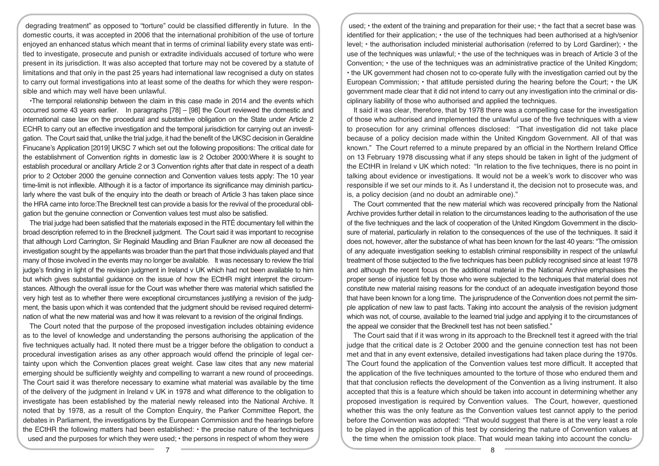degrading treatment" as opposed to "torture" could be classified differently in future. In the domestic courts, it was accepted in 2006 that the international prohibition of the use of torture enjoyed an enhanced status which meant that in terms of criminal liability every state was entitled to investigate, prosecute and punish or extradite individuals accused of torture who were present in its jurisdiction. It was also accepted that torture may not be covered by a statute of limitations and that only in the past 25 years had international law recognised a duty on states to carry out formal investigations into at least some of the deaths for which they were responsible and which may well have been unlawful.

•The temporal relationship between the claim in this case made in 2014 and the events which occurred some 43 years earlier. In paragraphs [78] – [98] the Court reviewed the domestic and international case law on the procedural and substantive obligation on the State under Article 2 ECHR to carry out an effective investigation and the temporal jurisdiction for carrying out an investigation. The Court said that, unlike the trial judge, it had the benefit of the UKSC decision in Geraldine Finucane's Application [2019] UKSC 7 which set out the following propositions: The critical date for the establishment of Convention rights in domestic law is 2 October 2000:Where it is sought to establish procedural or ancillary Article 2 or 3 Convention rights after that date in respect of a death prior to 2 October 2000 the genuine connection and Convention values tests apply: The 10 year time-limit is not inflexible. Although it is a factor of importance its significance may diminish particularly where the vast bulk of the enquiry into the death or breach of Article 3 has taken place since the HRA came into force:The Brecknell test can provide a basis for the revival of the procedural obligation but the genuine connection or Convention values test must also be satisfied.

The trial judge had been satisfied that the materials exposed in the RTÉ documentary fell within the broad description referred to in the Brecknell judgment. The Court said it was important to recognise that although Lord Carrington, Sir Reginald Maudling and Brian Faulkner are now all deceased the investigation sought by the appellants was broader than the part that those individuals played and that many of those involved in the events may no longer be available. It was necessary to review the trial judge's finding in light of the revision judgment in Ireland v UK which had not been available to him but which gives substantial guidance on the issue of how the ECtHR might interpret the circumstances. Although the overall issue for the Court was whether there was material which satisfied the very high test as to whether there were exceptional circumstances justifying a revision of the judgment, the basis upon which it was contended that the judgment should be revised required determination of what the new material was and how it was relevant to a revision of the original findings.

The Court noted that the purpose of the proposed investigation includes obtaining evidence as to the level of knowledge and understanding the persons authorising the application of the five techniques actually had. It noted there must be a trigger before the obligation to conduct a procedural investigation arises as any other approach would offend the principle of legal certainty upon which the Convention places great weight. Case law cites that any new material emerging should be sufficiently weighty and compelling to warrant a new round of proceedings. The Court said it was therefore necessary to examine what material was available by the time of the delivery of the judgment in Ireland v UK in 1978 and what difference to the obligation to investigate has been established by the material newly released into the National Archive. It noted that by 1978, as a result of the Compton Enquiry, the Parker Committee Report, the debates in Parliament, the investigations by the European Commission and the hearings before the ECtHR the following matters had been established: • the precise nature of the techniques used and the purposes for which they were used; • the persons in respect of whom they were

used; • the extent of the training and preparation for their use; • the fact that a secret base was identified for their application; • the use of the techniques had been authorised at a high/senior level; • the authorisation included ministerial authorisation (referred to by Lord Gardiner); • the use of the techniques was unlawful; • the use of the techniques was in breach of Article 3 of the Convention; • the use of the techniques was an administrative practice of the United Kingdom; • the UK government had chosen not to co-operate fully with the investigation carried out by the European Commission; • that attitude persisted during the hearing before the Court; • the UK government made clear that it did not intend to carry out any investigation into the criminal or disciplinary liability of those who authorised and applied the techniques.

It said it was clear, therefore, that by 1978 there was a compelling case for the investigation of those who authorised and implemented the unlawful use of the five techniques with a view to prosecution for any criminal offences disclosed: "That investigation did not take place because of a policy decision made within the United Kingdom Government. All of that was known." The Court referred to a minute prepared by an official in the Northern Ireland Office on 13 February 1978 discussing what if any steps should be taken in light of the judgment of the ECtHR in Ireland v UK which noted: "In relation to the five techniques, there is no point in talking about evidence or investigations. It would not be a week's work to discover who was responsible if we set our minds to it. As I understand it, the decision not to prosecute was, and is, a policy decision (and no doubt an admirable one)."

The Court commented that the new material which was recovered principally from the National Archive provides further detail in relation to the circumstances leading to the authorisation of the use of the five techniques and the lack of cooperation of the United Kingdom Government in the disclosure of material, particularly in relation to the consequences of the use of the techniques. It said it does not, however, alter the substance of what has been known for the last 40 years: "The omission of any adequate investigation seeking to establish criminal responsibility in respect of the unlawful treatment of those subjected to the five techniques has been publicly recognised since at least 1978 and although the recent focus on the additional material in the National Archive emphasises the proper sense of injustice felt by those who were subjected to the techniques that material does not constitute new material raising reasons for the conduct of an adequate investigation beyond those that have been known for a long time. The jurisprudence of the Convention does not permit the simple application of new law to past facts. Taking into account the analysis of the revision judgment which was not, of course, available to the learned trial judge and applying it to the circumstances of the appeal we consider that the Brecknell test has not been satisfied."

The Court said that if it was wrong in its approach to the Brecknell test it agreed with the trial judge that the critical date is 2 October 2000 and the genuine connection test has not been met and that in any event extensive, detailed investigations had taken place during the 1970s. The Court found the application of the Convention values test more difficult. It accepted that the application of the five techniques amounted to the torture of those who endured them and that that conclusion reflects the development of the Convention as a living instrument. It also accepted that this is a feature which should be taken into account in determining whether any proposed investigation is required by Convention values. The Court, however, questioned whether this was the only feature as the Convention values test cannot apply to the period before the Convention was adopted: "That would suggest that there is at the very least a role to be played in the application of this test by considering the nature of Convention values at the time when the omission took place. That would mean taking into account the conclu-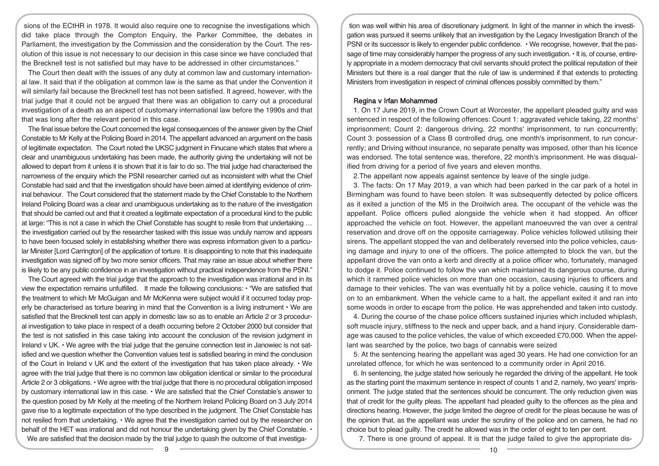sions of the ECtHR in 1978. It would also require one to recognise the investigations which did take place through the Compton Enquiry, the Parker Committee, the debates in Parliament, the investigation by the Commission and the consideration by the Court. The resolution of this issue is not necessary to our decision in this case since we have concluded that the Brecknell test is not satisfied but may have to be addressed in other circumstances."

The Court then dealt with the issues of any duty at common law and customary international law. It said that if the obligation at common law is the same as that under the Convention it will similarly fail because the Brecknell test has not been satisfied. It agreed, however, with the trial judge that it could not be argued that there was an obligation to carry out a procedural investigation of a death as an aspect of customary international law before the 1990s and that that was long after the relevant period in this case.

The final issue before the Court concerned the legal consequences of the answer given by the Chief Constable to Mr Kelly at the Policing Board in 2014. The appellant advanced an argument on the basis of legitimate expectation. The Court noted the UKSC judgment in Finucane which states that where a clear and unambiguous undertaking has been made, the authority giving the undertaking will not be allowed to depart from it unless it is shown that it is fair to do so. The trial judge had characterised the narrowness of the enquiry which the PSNI researcher carried out as inconsistent with what the Chief Constable had said and that the investigation should have been aimed at identifying evidence of criminal behaviour. The Court considered that the statement made by the Chief Constable to the Northern Ireland Policing Board was a clear and unambiguous undertaking as to the nature of the investigation that should be carried out and that it created a legitimate expectation of a procedural kind to the public at large: "This is not a case in which the Chief Constable has sought to resile from that undertaking … the investigation carried out by the researcher tasked with this issue was unduly narrow and appears to have been focused solely in establishing whether there was express information given to a particular Minister [Lord Carrington] of the application of torture. It is disappointing to note that this inadequate investigation was signed off by two more senior officers. That may raise an issue about whether there is likely to be any public confidence in an investigation without practical independence from the PSNI."

The Court agreed with the trial judge that the approach to the investigation was irrational and in its view the expectation remains unfulfilled. It made the following conclusions: • "We are satisfied that the treatment to which Mr McGuigan and Mr McKenna were subject would if it occurred today properly be characterised as torture bearing in mind that the Convention is a living instrument • We are satisfied that the Brecknell test can apply in domestic law so as to enable an Article 2 or 3 procedural investigation to take place in respect of a death occurring before 2 October 2000 but consider that the test is not satisfied in this case taking into account the conclusion of the revision judgment in Ireland v UK. • We agree with the trial judge that the genuine connection test in Janowiec is not satisfied and we question whether the Convention values test is satisfied bearing in mind the conclusion of the Court in Ireland v UK and the extent of the investigation that has taken place already. • We agree with the trial judge that there is no common law obligation identical or similar to the procedural Article 2 or 3 obligations. • We agree with the trial judge that there is no procedural obligation imposed by customary international law in this case. • We are satisfied that the Chief Constable's answer to the question posed by Mr Kelly at the meeting of the Northern Ireland Policing Board on 3 July 2014 gave rise to a legitimate expectation of the type described in the judgment. The Chief Constable has not resiled from that undertaking. • We agree that the investigation carried out by the researcher on behalf of the HET was irrational and did not honour the undertaking given by the Chief Constable. • We are satisfied that the decision made by the trial judge to quash the outcome of that investiga-

tion was well within his area of discretionary judgment. In light of the manner in which the investigation was pursued it seems unlikely that an investigation by the Legacy Investigation Branch of the PSNI or its successor is likely to engender public confidence. • We recognise, however, that the passage of time may considerably hamper the progress of any such investigation. • It is, of course, entirely appropriate in a modern democracy that civil servants should protect the political reputation of their Ministers but there is a real danger that the rule of law is undermined if that extends to protecting Ministers from investigation in respect of criminal offences possibly committed by them."

# Regina v Irfan Mohammed

1. On 17 June 2019, in the Crown Court at Worcester, the appellant pleaded guilty and was sentenced in respect of the following offences: Count 1: aggravated vehicle taking, 22 months' imprisonment; Count 2: dangerous driving, 22 months' imprisonment, to run concurrently; Count 3: possession of a Class B controlled drug, one month's imprisonment, to run concurrently; and Driving without insurance, no separate penalty was imposed, other than his licence was endorsed. The total sentence was, therefore, 22 month's imprisonment. He was disqualified from driving for a period of five years and eleven months.

2.The appellant now appeals against sentence by leave of the single judge.

3. The facts: On 17 May 2019, a van which had been parked in the car park of a hotel in Birmingham was found to have been stolen. It was subsequently detected by police officers as it exited a junction of the M5 in the Droitwich area. The occupant of the vehicle was the appellant. Police officers pulled alongside the vehicle when it had stopped. An officer approached the vehicle on foot. However, the appellant manoeuvred the van over a central reservation and drove off on the opposite carriageway. Police vehicles followed utilising their sirens. The appellant stopped the van and deliberately reversed into the police vehicles, causing damage and injury to one of the officers. The police attempted to block the van, but the appellant drove the van onto a kerb and directly at a police officer who, fortunately, managed to dodge it. Police continued to follow the van which maintained its dangerous course, during which it rammed police vehicles on more than one occasion, causing injuries to officers and damage to their vehicles. The van was eventually hit by a police vehicle, causing it to move on to an embankment. When the vehicle came to a halt, the appellant exited it and ran into some woods in order to escape from the police. He was apprehended and taken into custody.

4. During the course of the chase police officers sustained injuries which included whiplash, soft muscle injury, stiffness to the neck and upper back, and a hand injury. Considerable damage was caused to the police vehicles, the value of which exceeded £70,000. When the appellant was searched by the police, two bags of cannabis were seized

5. At the sentencing hearing the appellant was aged 30 years. He had one conviction for an unrelated offence, for which he was sentenced to a community order in April 2016.

6. In sentencing, the judge stated how seriously he regarded the driving of the appellant. He took as the starting point the maximum sentence in respect of counts 1 and 2, namely, two years' imprisonment. The judge stated that the sentences should be concurrent. The only reduction given was that of credit for the guilty pleas. The appellant had pleaded guilty to the offences as the plea and directions hearing. However, the judge limited the degree of credit for the pleas because he was of the opinion that, as the appellant was under the scrutiny of the police and on camera, he had no choice but to plead guilty. The credit he allowed was in the order of eight to ten per cent.

7. There is one ground of appeal. It is that the judge failed to give the appropriate dis-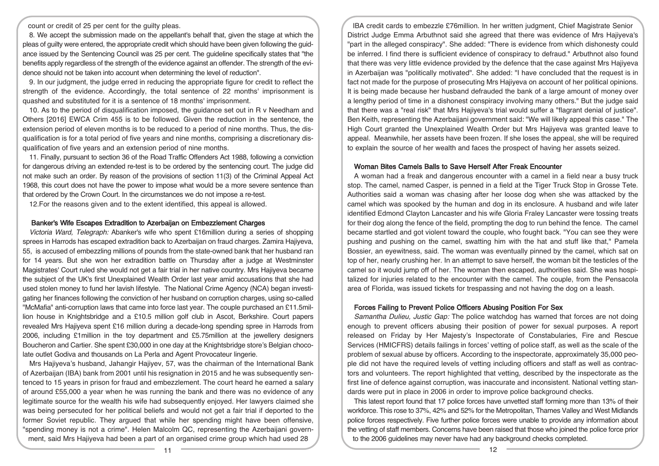count or credit of 25 per cent for the guilty pleas.

8. We accept the submission made on the appellant's behalf that, given the stage at which the pleas of guilty were entered, the appropriate credit which should have been given following the guidance issued by the Sentencing Council was 25 per cent. The guideline specifically states that "the benefits apply regardless of the strength of the evidence against an offender. The strength of the evidence should not be taken into account when determining the level of reduction".

9. In our judgment, the judge erred in reducing the appropriate figure for credit to reflect the strength of the evidence. Accordingly, the total sentence of 22 months' imprisonment is quashed and substituted for it is a sentence of 18 months' imprisonment.

10. As to the period of disqualification imposed, the guidance set out in R v Needham and Others [2016] EWCA Crim 455 is to be followed. Given the reduction in the sentence, the extension period of eleven months is to be reduced to a period of nine months. Thus, the disqualification is for a total period of five years and nine months, comprising a discretionary disqualification of five years and an extension period of nine months.

11. Finally, pursuant to section 36 of the Road Traffic Offenders Act 1988, following a conviction for dangerous driving an extended re-test is to be ordered by the sentencing court. The judge did not make such an order. By reason of the provisions of section 11(3) of the Criminal Appeal Act 1968, this court does not have the power to impose what would be a more severe sentence than that ordered by the Crown Court. In the circumstances we do not impose a re-test.

12.For the reasons given and to the extent identified, this appeal is allowed.

#### Banker's Wife Escapes Extradition to Azerbaijan on Embezzlement Charges

Victoria Ward, Telegraph: Abanker's wife who spent £16million during a series of shopping sprees in Harrods has escaped extradition back to Azerbaijan on fraud charges. Zamira Hajiyeva, 55, is accused of embezzling millions of pounds from the state-owned bank that her husband ran for 14 years. But she won her extradition battle on Thursday after a judge at Westminster Magistrates' Court ruled she would not get a fair trial in her native country. Mrs Hajiyeva became the subject of the UK's first Unexplained Wealth Order last year amid accusations that she had used stolen money to fund her lavish lifestyle. The National Crime Agency (NCA) began investigating her finances following the conviction of her husband on corruption charges, using so-called "McMafia" anti-corruption laws that came into force last year. The couple purchased an £11.5million house in Knightsbridge and a £10.5 million golf club in Ascot, Berkshire. Court papers revealed Mrs Hajiyeva spent £16 million during a decade-long spending spree in Harrods from 2006, including £1million in the toy department and £5.75million at the jewellery designers Boucheron and Cartier. She spent £30,000 in one day at the Knightsbridge store's Belgian chocolate outlet Godiva and thousands on La Perla and Agent Provocateur lingerie.

Mrs Hajiyeva's husband, Jahangir Hajiyev, 57, was the chairman of the International Bank of Azerbaijan (IBA) bank from 2001 until his resignation in 2015 and he was subsequently sentenced to 15 years in prison for fraud and embezzlement. The court heard he earned a salary of around £55,000 a year when he was running the bank and there was no evidence of any legitimate source for the wealth his wife had subsequently enjoyed. Her lawyers claimed she was being persecuted for her political beliefs and would not get a fair trial if deported to the former Soviet republic. They argued that while her spending might have been offensive, "spending money is not a crime". Helen Malcolm QC, representing the Azerbaijani government, said Mrs Hajiyeva had been a part of an organised crime group which had used 28

IBA credit cards to embezzle £76million. In her written judgment, Chief Magistrate Senior District Judge Emma Arbuthnot said she agreed that there was evidence of Mrs Hajiyeva's "part in the alleged conspiracy". She added: "There is evidence from which dishonesty could be inferred. I find there is sufficient evidence of conspiracy to defraud." Arbuthnot also found that there was very little evidence provided by the defence that the case against Mrs Hajiyeva in Azerbaijan was "politically motivated". She added: "I have concluded that the request is in fact not made for the purpose of prosecuting Mrs Hajiyeva on account of her political opinions. It is being made because her husband defrauded the bank of a large amount of money over a lengthy period of time in a dishonest conspiracy involving many others." But the judge said that there was a "real risk" that Mrs Hajiyeva's trial would suffer a "flagrant denial of justice". Ben Keith, representing the Azerbaijani government said: "We will likely appeal this case." The High Court granted the Unexplained Wealth Order but Mrs Hajiyeva was granted leave to appeal. Meanwhile, her assets have been frozen. If she loses the appeal, she will be required to explain the source of her wealth and faces the prospect of having her assets seized.

#### Woman Bites Camels Balls to Save Herself After Freak Encounter

A woman had a freak and dangerous encounter with a camel in a field near a busy truck stop. The camel, named Casper, is penned in a field at the Tiger Truck Stop in Grosse Tete. Authorities said a woman was chasing after her loose dog when she was attacked by the camel which was spooked by the human and dog in its enclosure. A husband and wife later identified Edmond Clayton Lancaster and his wife Gloria Fraley Lancaster were tossing treats for their dog along the fence of the field, prompting the dog to run behind the fence. The camel became startled and got violent toward the couple, who fought back. "You can see they were pushing and pushing on the camel, swatting him with the hat and stuff like that," Pamela Bossier, an eyewitness, said. The woman was eventually pinned by the camel, which sat on top of her, nearly crushing her. In an attempt to save herself, the woman bit the testicles of the camel so it would jump off of her. The woman then escaped, authorities said. She was hospitalized for injuries related to the encounter with the camel. The couple, from the Pensacola area of Florida, was issued tickets for trespassing and not having the dog on a leash.

# Forces Failing to Prevent Police Officers Abusing Position For Sex

Samantha Dulieu, Justic Gap: The police watchdog has warned that forces are not doing enough to prevent officers abusing their position of power for sexual purposes. A report released on Friday by Her Majesty's Inspectorate of Constabularies, Fire and Rescue Services (HMICFRS) details failings in forces' vetting of police staff, as well as the scale of the problem of sexual abuse by officers. According to the inspectorate, approximately 35,000 people did not have the required levels of vetting including officers and staff as well as contractors and volunteers. The report highlighted that vetting, described by the inspectorate as the first line of defence against corruption, was inaccurate and inconsistent. National vetting standards were put in place in 2006 in order to improve police background checks.

This latest report found that 17 police forces have unvetted staff forming more than 13% of their workforce. This rose to 37%, 42% and 52% for the Metropolitan, Thames Valley and West Midlands police forces respectively. Five further police forces were unable to provide any information about the vetting of staff members. Concerns have been raised that those who joined the police force prior to the 2006 guidelines may never have had any background checks completed.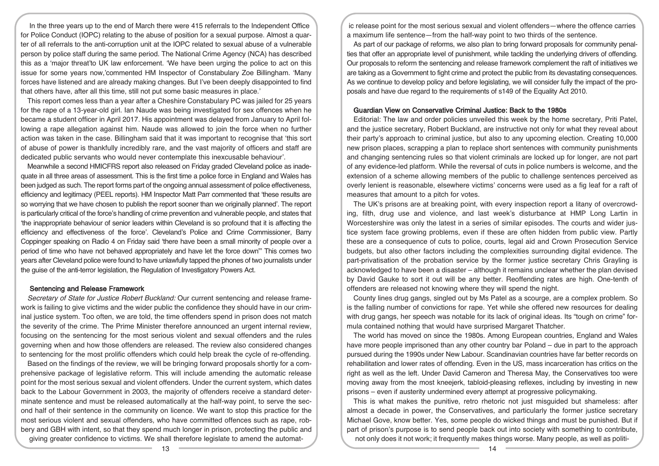In the three years up to the end of March there were 415 referrals to the Independent Office for Police Conduct (IOPC) relating to the abuse of position for a sexual purpose. Almost a quarter of all referrals to the anti-corruption unit at the IOPC related to sexual abuse of a vulnerable person by police staff during the same period. The National Crime Agency (NCA) has described this as a 'major threat'to UK law enforcement. 'We have been urging the police to act on this issue for some years now,'commented HM Inspector of Constabulary Zoe Billingham. 'Many forces have listened and are already making changes. But I've been deeply disappointed to find that others have, after all this time, still not put some basic measures in place.'

This report comes less than a year after a Cheshire Constabulary PC was jailed for 25 years for the rape of a 13-year-old girl. Ian Naude was being investigated for sex offences when he became a student officer in April 2017. His appointment was delayed from January to April following a rape allegation against him. Naude was allowed to join the force when no further action was taken in the case. Billingham said that it was important to recognise that 'this sort of abuse of power is thankfully incredibly rare, and the vast majority of officers and staff are dedicated public servants who would never contemplate this inexcusable behaviour'.

Meanwhile a second HMICFRS report also released on Friday graded Cleveland police as inadequate in all three areas of assessment. This is the first time a police force in England and Wales has been judged as such. The report forms part of the ongoing annual assessment of police effectiveness, efficiency and legitimacy (PEEL reports). HM Inspector Matt Parr commented that 'these results are so worrying that we have chosen to publish the report sooner than we originally planned'. The report is particularly critical of the force's handling of crime prevention and vulnerable people, and states that 'the inappropriate behaviour of senior leaders within Cleveland is so profound that it is affecting the efficiency and effectiveness of the force'. Cleveland's Police and Crime Commissioner, Barry Coppinger speaking on Radio 4 on Friday said 'there have been a small minority of people over a period of time who have not behaved appropriately and have let the force down"' This comes two years after Cleveland police were found to have unlawfully tapped the phones of two journalists under the guise of the anti-terror legislation, the Regulation of Investigatory Powers Act.

### Sentencing and Release Framework

Secretary of State for Justice Robert Buckland: Our current sentencing and release framework is failing to give victims and the wider public the confidence they should have in our criminal justice system. Too often, we are told, the time offenders spend in prison does not match the severity of the crime. The Prime Minister therefore announced an urgent internal review, focusing on the sentencing for the most serious violent and sexual offenders and the rules governing when and how those offenders are released. The review also considered changes to sentencing for the most prolific offenders which could help break the cycle of re-offending.

Based on the findings of the review, we will be bringing forward proposals shortly for a comprehensive package of legislative reform. This will include amending the automatic release point for the most serious sexual and violent offenders. Under the current system, which dates back to the Labour Government in 2003, the majority of offenders receive a standard determinate sentence and must be released automatically at the half-way point, to serve the second half of their sentence in the community on licence. We want to stop this practice for the most serious violent and sexual offenders, who have committed offences such as rape, robbery and GBH with intent, so that they spend much longer in prison, protecting the public and giving greater confidence to victims. We shall therefore legislate to amend the automat-

ic release point for the most serious sexual and violent offenders—where the offence carries a maximum life sentence—from the half-way point to two thirds of the sentence.

As part of our package of reforms, we also plan to bring forward proposals for community penalties that offer an appropriate level of punishment, while tackling the underlying drivers of offending. Our proposals to reform the sentencing and release framework complement the raft of initiatives we are taking as a Government to fight crime and protect the public from its devastating consequences. As we continue to develop policy and before legislating, we will consider fully the impact of the proposals and have due regard to the requirements of s149 of the Equality Act 2010.

## Guardian View on Conservative Criminal Justice: Back to the 1980s

Editorial: The law and order policies unveiled this week by the home secretary, Priti Patel, and the justice secretary, Robert Buckland, are instructive not only for what they reveal about their party's approach to criminal justice, but also to any upcoming election. Creating 10,000 new prison places, scrapping a plan to replace short sentences with community punishments and changing sentencing rules so that violent criminals are locked up for longer, are not part of any evidence-led platform. While the reversal of cuts in police numbers is welcome, and the extension of a scheme allowing members of the public to challenge sentences perceived as overly lenient is reasonable, elsewhere victims' concerns were used as a fig leaf for a raft of measures that amount to a pitch for votes.

The UK's prisons are at breaking point, with every inspection report a litany of overcrowding, filth, drug use and violence, and last week's disturbance at HMP Long Lartin in Worcestershire was only the latest in a series of similar episodes. The courts and wider justice system face growing problems, even if these are often hidden from public view. Partly these are a consequence of cuts to police, courts, legal aid and Crown Prosecution Service budgets, but also other factors including the complexities surrounding digital evidence. The part-privatisation of the probation service by the former justice secretary Chris Grayling is acknowledged to have been a disaster – although it remains unclear whether the plan devised by David Gauke to sort it out will be any better. Reoffending rates are high. One-tenth of offenders are released not knowing where they will spend the night.

County lines drug gangs, singled out by Ms Patel as a scourge, are a complex problem. So is the falling number of convictions for rape. Yet while she offered new resources for dealing with drug gangs, her speech was notable for its lack of original ideas. Its "tough on crime" formula contained nothing that would have surprised Margaret Thatcher.

The world has moved on since the 1980s. Among European countries, England and Wales have more people imprisoned than any other country bar Poland – due in part to the approach pursued during the 1990s under New Labour. Scandinavian countries have far better records on rehabilitation and lower rates of offending. Even in the US, mass incarceration has critics on the right as well as the left. Under David Cameron and Theresa May, the Conservatives too were moving away from the most kneejerk, tabloid-pleasing reflexes, including by investing in new prisons – even if austerity undermined every attempt at progressive policymaking.

This is what makes the punitive, retro rhetoric not just misguided but shameless: after almost a decade in power, the Conservatives, and particularly the former justice secretary Michael Gove, know better. Yes, some people do wicked things and must be punished. But if part of prison's purpose is to send people back out into society with something to contribute, not only does it not work; it frequently makes things worse. Many people, as well as politi-